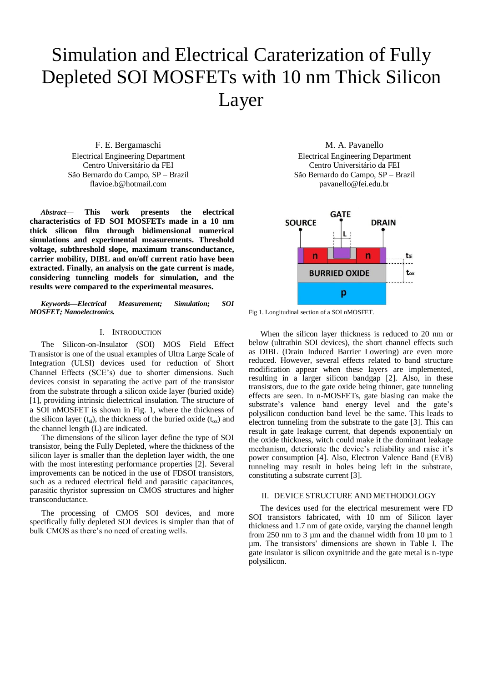# Simulation and Electrical Caraterization of Fully Depleted SOI MOSFETs with 10 nm Thick Silicon Layer

F. E. Bergamaschi Electrical Engineering Department Centro Universitário da FEI São Bernardo do Campo, SP – Brazil flavioe.b@hotmail.com

*Abstract***— This work presents the electrical characteristics of FD SOI MOSFETs made in a 10 nm thick silicon film through bidimensional numerical simulations and experimental measurements. Threshold voltage, subthreshold slope, maximum transconductance, carrier mobility, DIBL and on/off current ratio have been extracted. Finally, an analysis on the gate current is made, considering tunneling models for simulation, and the results were compared to the experimental measures.**

*Keywords—Electrical Measurement; Simulation; SOI MOSFET; Nanoelectronics.*

# I. INTRODUCTION

The Silicon-on-Insulator (SOI) MOS Field Effect Transistor is one of the usual examples of Ultra Large Scale of Integration (ULSI) devices used for reduction of Short Channel Effects (SCE's) due to shorter dimensions. Such devices consist in separating the active part of the transistor from the substrate through a silicon oxide layer (buried oxide) [1], providing intrinsic dielectrical insulation. The structure of a SOI nMOSFET is shown in Fig. 1, where the thickness of the silicon layer ( $t_{si}$ ), the thickness of the buried oxide ( $t_{ox}$ ) and the channel length (L) are indicated.

The dimensions of the silicon layer define the type of SOI transistor, being the Fully Depleted, where the thickness of the silicon layer is smaller than the depletion layer width, the one with the most interesting performance properties [2]. Several improvements can be noticed in the use of FDSOI transistors, such as a reduced electrical field and parasitic capacitances, parasitic thyristor supression on CMOS structures and higher transconductance.

The processing of CMOS SOI devices, and more specifically fully depleted SOI devices is simpler than that of bulk CMOS as there's no need of creating wells.

M. A. Pavanello Electrical Engineering Department Centro Universitário da FEI São Bernardo do Campo, SP – Brazil pavanello@fei.edu.br



Fig 1. Longitudinal section of a SOI nMOSFET.

When the silicon layer thickness is reduced to 20 nm or below (ultrathin SOI devices), the short channel effects such as DIBL (Drain Induced Barrier Lowering) are even more reduced. However, several effects related to band structure modification appear when these layers are implemented, resulting in a larger silicon bandgap [2]. Also, in these transistors, due to the gate oxide being thinner, gate tunneling effects are seen. In n-MOSFETs, gate biasing can make the substrate's valence band energy level and the gate's polysilicon conduction band level be the same. This leads to electron tunneling from the substrate to the gate [3]. This can result in gate leakage current, that depends exponentialy on the oxide thickness, witch could make it the dominant leakage mechanism, deteriorate the device's reliability and raise it's power consumption [4]. Also, Electron Valence Band (EVB) tunneling may result in holes being left in the substrate, constituting a substrate current [3].

## II. DEVICE STRUCTURE AND METHODOLOGY

The devices used for the electrical mesurement were FD SOI transistors fabricated, with 10 nm of Silicon layer thickness and 1.7 nm of gate oxide, varying the channel length from 250 nm to 3 µm and the channel width from 10 µm to 1 µm. The transistors' dimensions are shown in Table I. The gate insulator is silicon oxynitride and the gate metal is n-type polysilicon.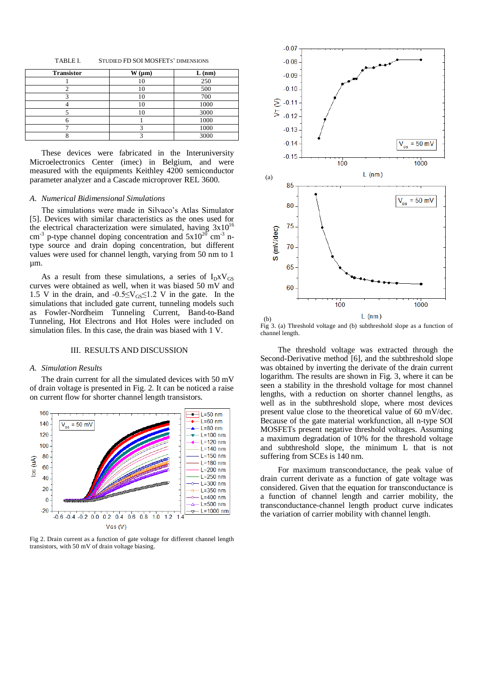TABLE I. STUDIED FD SOI MOSFETS' DIMENSIONS

| <b>Transistor</b> | $W(\mu m)$ | L(nm) |
|-------------------|------------|-------|
|                   |            | 250   |
|                   |            | 500   |
|                   | 10         | 700   |
|                   |            | 1000  |
|                   | 10         | 3000  |
|                   |            | 1000  |
|                   |            | 1000  |
|                   |            | 3000  |

These devices were fabricated in the Interuniversity Microelectronics Center (imec) in Belgium, and were measured with the equipments Keithley 4200 semiconductor parameter analyzer and a Cascade microprover REL 3600.

## *A. Numerical Bidimensional Simulations*

The simulations were made in Silvaco's Atlas Simulator [5]. Devices with similar characteristics as the ones used for the electrical characterization were simulated, having  $3x10^{16}$ cm<sup>-3</sup> p-type channel doping concentration and  $5x10^{20}$  cm<sup>-3</sup> ntype source and drain doping concentration, but different values were used for channel length, varying from 50 nm to 1 µm.

As a result from these simulations, a series of  $I_D x V_{GS}$ curves were obtained as well, when it was biased 50 mV and 1.5 V in the drain, and  $-0.5 \leq V_{GS} \leq 1.2$  V in the gate. In the simulations that included gate current, tunneling models such as Fowler-Nordheim Tunneling Current, Band-to-Band Tunneling, Hot Electrons and Hot Holes were included on simulation files. In this case, the drain was biased with 1 V.

# III. RESULTS AND DISCUSSION

### *A. Simulation Results*

The drain current for all the simulated devices with 50 mV of drain voltage is presented in Fig. 2. It can be noticed a raise on current flow for shorter channel length transistors.



Fig 2. Drain current as a function of gate voltage for different channel length transistors, with 50 mV of drain voltage biasing.



Fig 3. (a) Threshold voltage and (b) subthreshold slope as a function of channel length.

The threshold voltage was extracted through the Second-Derivative method [6], and the subthreshold slope was obtained by inverting the derivate of the drain current logarithm. The results are shown in Fig. 3, where it can be seen a stability in the threshold voltage for most channel lengths, with a reduction on shorter channel lengths, as well as in the subthreshold slope, where most devices present value close to the theoretical value of 60 mV/dec. Because of the gate material workfunction, all n-type SOI MOSFETs present negative threshold voltages. Assuming a maximum degradation of 10% for the threshold voltage and subthreshold slope, the minimum L that is not suffering from SCEs is 140 nm.

For maximum transconductance, the peak value of drain current derivate as a function of gate voltage was considered. Given that the equation for transconductance is a function of channel length and carrier mobility, the transconductance-channel length product curve indicates the variation of carrier mobility with channel length.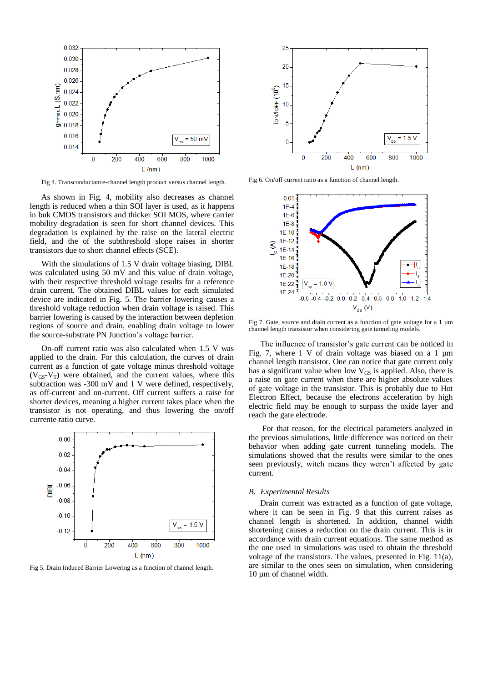

Fig 4. Transconductance-channel length product versus channel length.

As shown in Fig. 4, mobility also decreases as channel length is reduced when a thin SOI layer is used, as it happens in buk CMOS transistors and thicker SOI MOS, where carrier mobility degradation is seen for short channel devices. This degradation is explained by the raise on the lateral electric field, and the of the subthreshold slope raises in shorter transistors due to short channel effects (SCE).

With the simulations of 1.5 V drain voltage biasing, DIBL was calculated using 50 mV and this value of drain voltage, with their respective threshold voltage results for a reference drain current. The obtained DIBL values for each simulated device are indicated in Fig. 5. The barrier lowering causes a threshold voltage reduction when drain voltage is raised. This barrier lowering is caused by the interaction between depletion regions of source and drain, enabling drain voltage to lower the source-substrate PN Junction's voltage barrier.

On-off current ratio was also calculated when 1.5 V was applied to the drain. For this calculation, the curves of drain current as a function of gate voltage minus threshold voltage  $(V_{GS}-V_T)$  were obtained, and the current values, where this subtraction was -300 mV and 1 V were defined, respectively, as off-current and on-current. Off current suffers a raise for shorter devices, meaning a higher current takes place when the transistor is not operating, and thus lowering the on/off currente ratio curve.



Fig 5. Drain Induced Barrier Lowering as a function of channel length.



Fig 6. On/off current ratio as a function of channel length.



Fig 7. Gate, source and drain current as a function of gate voltage for a 1  $\mu$ m channel length transistor when considering gate tunneling models.

The influence of transistor's gate current can be noticed in Fig. 7, where 1 V of drain voltage was biased on a 1 µm channel length transistor. One can notice that gate current only has a significant value when low  $V_{GS}$  is applied. Also, there is a raise on gate current when there are higher absolute values of gate voltage in the transistor. This is probably due to Hot Electron Effect, because the electrons acceleration by high electric field may be enough to surpass the oxide layer and reach the gate electrode.

For that reason, for the electrical parameters analyzed in the previous simulations, little difference was noticed on their behavior when adding gate current tunneling models. The simulations showed that the results were similar to the ones seen previously, witch means they weren't affected by gate current.

#### *B. Experimental Results*

Drain current was extracted as a function of gate voltage, where it can be seen in Fig. 9 that this current raises as channel length is shortened. In addition, channel width shortening causes a reduction on the drain current. This is in accordance with drain current equations. The same method as the one used in simulations was used to obtain the threshold voltage of the transistors. The values, presented in Fig. 11(a), are similar to the ones seen on simulation, when considering 10 µm of channel width.